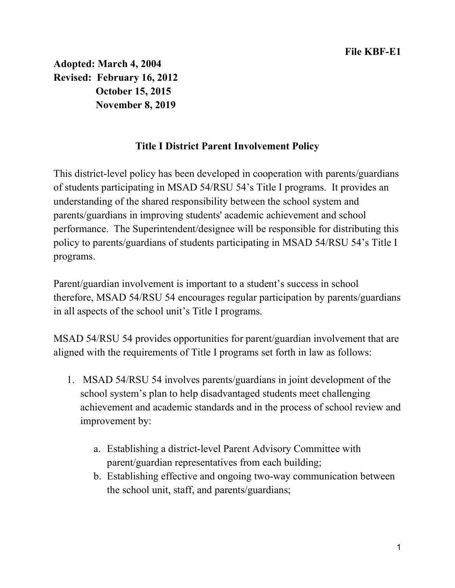Adopted: March 4, 2004 Revised: February 16, 2012 October 15, 2015 November 8, 2019

## Title I District Parent Involvement Policy

This district-level policy has been developed in cooperation with parents/guardians of students participating in MSAD 54/RSU 54's Title I programs. It provides an understanding of the shared responsibility between the school system and parents/guardians in improving students' academic achievement and school performance. The Superintendent/designee will be responsible for distributing this policy to parents/guardians of students participating in MSAD 54/RSU 54's Title I programs.

Parent/guardian involvement is important to a student's success in school therefore, MSAD 54/RSU 54 encourages regular participation by parents/guardians in all aspects of the school unit's Title I programs.

MSAD 54/RSU 54 provides opportunities for parent/guardian involvement that are aligned with the requirements of Title I programs set forth in law as follows:

- 1. MSAD 54/RSU 54 involves parents/guardians in joint development of the school system's plan to help disadvantaged students meet challenging achievement and academic standards and in the process of school review and improvement by:
	- a. Establishing a district-level Parent Advisory Committee with parent/guardian representatives from each building;
	- b. Establishing effective and ongoing two-way communication between the school unit, staff, and parents/guardians;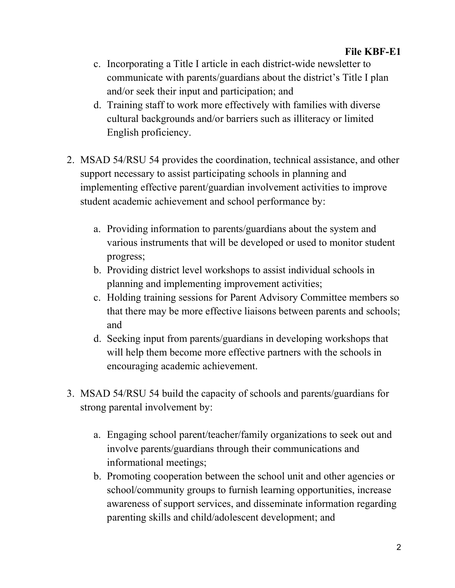- c. Incorporating a Title I article in each district-wide newsletter to communicate with parents/guardians about the district's Title I plan and/or seek their input and participation; and
- d. Training staff to work more effectively with families with diverse cultural backgrounds and/or barriers such as illiteracy or limited English proficiency.
- 2. MSAD 54/RSU 54 provides the coordination, technical assistance, and other support necessary to assist participating schools in planning and implementing effective parent/guardian involvement activities to improve student academic achievement and school performance by:
	- a. Providing information to parents/guardians about the system and various instruments that will be developed or used to monitor student progress;
	- b. Providing district level workshops to assist individual schools in planning and implementing improvement activities;
	- c. Holding training sessions for Parent Advisory Committee members so that there may be more effective liaisons between parents and schools; and
	- d. Seeking input from parents/guardians in developing workshops that will help them become more effective partners with the schools in encouraging academic achievement.
- 3. MSAD 54/RSU 54 build the capacity of schools and parents/guardians for strong parental involvement by:
	- a. Engaging school parent/teacher/family organizations to seek out and involve parents/guardians through their communications and informational meetings;
	- b. Promoting cooperation between the school unit and other agencies or school/community groups to furnish learning opportunities, increase awareness of support services, and disseminate information regarding parenting skills and child/adolescent development; and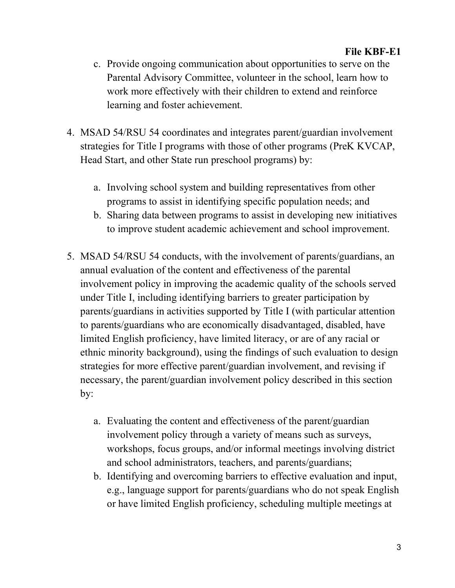## File KBF-E1

- c. Provide ongoing communication about opportunities to serve on the Parental Advisory Committee, volunteer in the school, learn how to work more effectively with their children to extend and reinforce learning and foster achievement.
- 4. MSAD 54/RSU 54 coordinates and integrates parent/guardian involvement strategies for Title I programs with those of other programs (PreK KVCAP, Head Start, and other State run preschool programs) by:
	- a. Involving school system and building representatives from other programs to assist in identifying specific population needs; and
	- b. Sharing data between programs to assist in developing new initiatives to improve student academic achievement and school improvement.
- 5. MSAD 54/RSU 54 conducts, with the involvement of parents/guardians, an annual evaluation of the content and effectiveness of the parental involvement policy in improving the academic quality of the schools served under Title I, including identifying barriers to greater participation by parents/guardians in activities supported by Title I (with particular attention to parents/guardians who are economically disadvantaged, disabled, have limited English proficiency, have limited literacy, or are of any racial or ethnic minority background), using the findings of such evaluation to design strategies for more effective parent/guardian involvement, and revising if necessary, the parent/guardian involvement policy described in this section by:
	- a. Evaluating the content and effectiveness of the parent/guardian involvement policy through a variety of means such as surveys, workshops, focus groups, and/or informal meetings involving district and school administrators, teachers, and parents/guardians;
	- b. Identifying and overcoming barriers to effective evaluation and input, e.g., language support for parents/guardians who do not speak English or have limited English proficiency, scheduling multiple meetings at